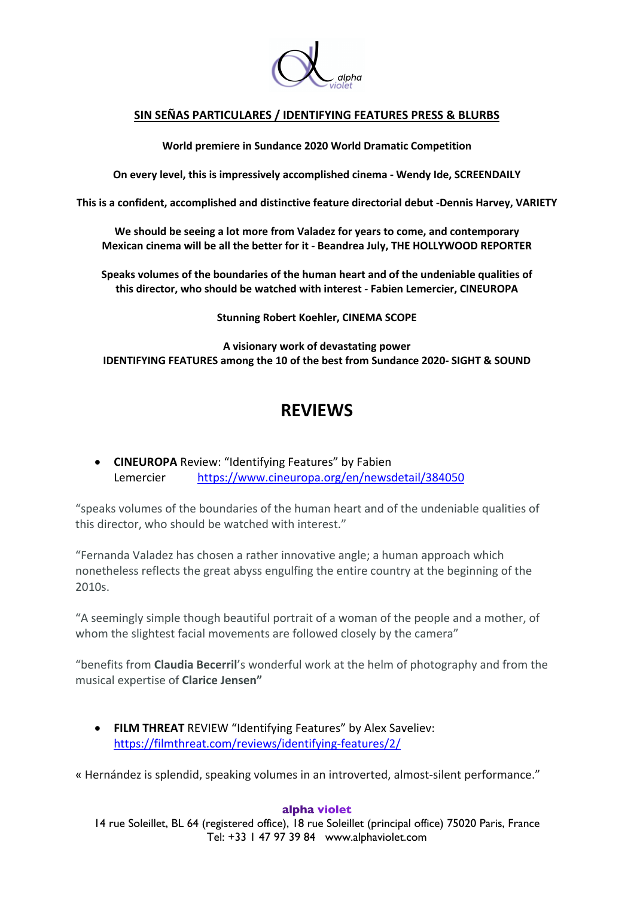

## **SIN SEÑAS PARTICULARES / IDENTIFYING FEATURES PRESS & BLURBS**

**World premiere in Sundance 2020 World Dramatic Competition**

**On every level, this is impressively accomplished cinema - Wendy Ide, SCREENDAILY**

**This is a confident, accomplished and distinctive feature directorial debut -Dennis Harvey, VARIETY**

**We should be seeing a lot more from Valadez for years to come, and contemporary Mexican cinema will be all the better for it - Beandrea July, THE HOLLYWOOD REPORTER**

**Speaks volumes of the boundaries of the human heart and of the undeniable qualities of this director, who should be watched with interest - Fabien Lemercier, CINEUROPA**

**Stunning Robert Koehler, CINEMA SCOPE**

**A visionary work of devastating power IDENTIFYING FEATURES among the 10 of the best from Sundance 2020- SIGHT & SOUND**

# **REVIEWS**

• **CINEUROPA** Review: "Identifying Features" by Fabien Lemercier https://www.cineuropa.org/en/newsdetail/384050

"speaks volumes of the boundaries of the human heart and of the undeniable qualities of this director, who should be watched with interest."

"Fernanda Valadez has chosen a rather innovative angle; a human approach which nonetheless reflects the great abyss engulfing the entire country at the beginning of the 2010s.

"A seemingly simple though beautiful portrait of a woman of the people and a mother, of whom the slightest facial movements are followed closely by the camera"

"benefits from **Claudia Becerril**'s wonderful work at the helm of photography and from the musical expertise of **Clarice Jensen"**

• **FILM THREAT** REVIEW "Identifying Features" by Alex Saveliev: https://filmthreat.com/reviews/identifying-features/2/

« Hernández is splendid, speaking volumes in an introverted, almost-silent performance."

## **alpha violet**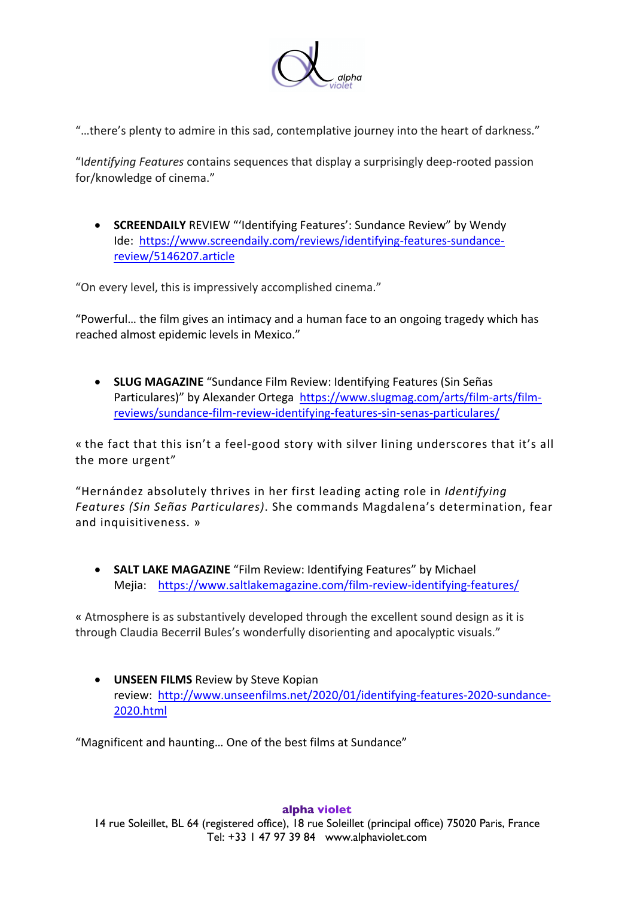

"…there's plenty to admire in this sad, contemplative journey into the heart of darkness."

"I*dentifying Features* contains sequences that display a surprisingly deep-rooted passion for/knowledge of cinema."

• **SCREENDAILY** REVIEW "'Identifying Features': Sundance Review" by Wendy Ide: https://www.screendaily.com/reviews/identifying-features-sundancereview/5146207.article

"On every level, this is impressively accomplished cinema."

"Powerful… the film gives an intimacy and a human face to an ongoing tragedy which has reached almost epidemic levels in Mexico."

• **SLUG MAGAZINE** "Sundance Film Review: Identifying Features (Sin Señas Particulares)" by Alexander Ortega https://www.slugmag.com/arts/film-arts/filmreviews/sundance-film-review-identifying-features-sin-senas-particulares/

« the fact that this isn't a feel-good story with silver lining underscores that it's all the more urgent"

"Hernández absolutely thrives in her first leading acting role in *Identifying Features (Sin Señas Particulares)*. She commands Magdalena's determination, fear and inquisitiveness. »

• **SALT LAKE MAGAZINE** "Film Review: Identifying Features" by Michael Mejia: https://www.saltlakemagazine.com/film-review-identifying-features/

« Atmosphere is as substantively developed through the excellent sound design as it is through Claudia Becerril Bules's wonderfully disorienting and apocalyptic visuals."

• **UNSEEN FILMS** Review by Steve Kopian review: http://www.unseenfilms.net/2020/01/identifying-features-2020-sundance-2020.html

"Magnificent and haunting… One of the best films at Sundance"

14 rue Soleillet, BL 64 (registered office), 18 rue Soleillet (principal office) 75020 Paris, France Tel: +33 1 47 97 39 84 www.alphaviolet.com

## **alpha violet**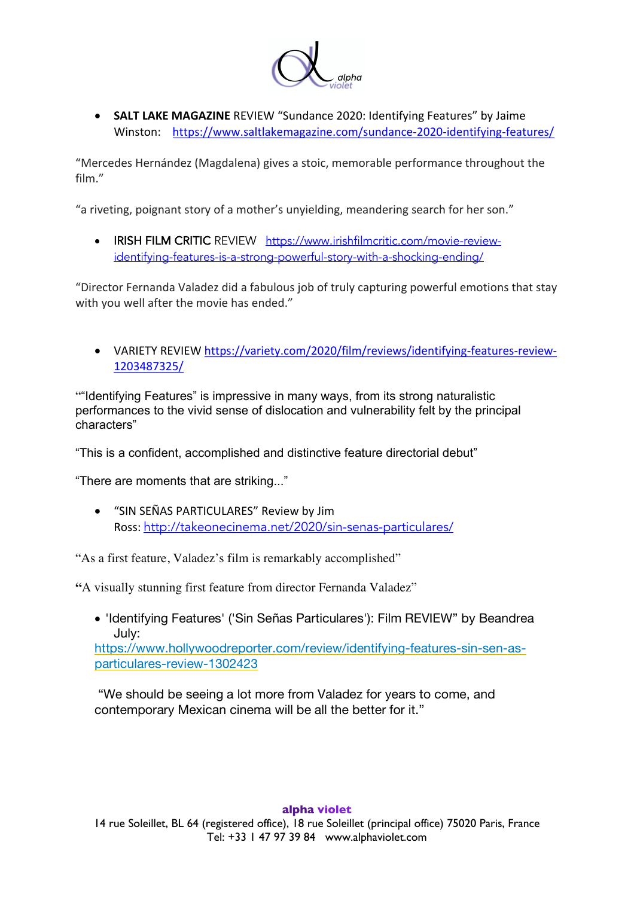

• **SALT LAKE MAGAZINE** REVIEW "Sundance 2020: Identifying Features" by Jaime Winston: https://www.saltlakemagazine.com/sundance-2020-identifying-features/

"Mercedes Hernández (Magdalena) gives a stoic, memorable performance throughout the film."

"a riveting, poignant story of a mother's unyielding, meandering search for her son."

• IRISH FILM CRITIC REVIEW https://www.irishfilmcritic.com/movie-reviewidentifying-features-is-a-strong-powerful-story-with-a-shocking-ending/

"Director Fernanda Valadez did a fabulous job of truly capturing powerful emotions that stay with you well after the movie has ended."

• VARIETY REVIEW https://variety.com/2020/film/reviews/identifying-features-review-1203487325/

""Identifying Features" is impressive in many ways, from its strong naturalistic performances to the vivid sense of dislocation and vulnerability felt by the principal characters"

"This is a confident, accomplished and distinctive feature directorial debut"

"There are moments that are striking..."

• "SIN SEÑAS PARTICULARES" Review by Jim Ross: http://takeonecinema.net/2020/sin-senas-particulares/

"As a first feature, Valadez's film is remarkably accomplished"

**"**A visually stunning first feature from director Fernanda Valadez"

• 'Identifying Features' ('Sin Señas Particulares'): Film REVIEW" by Beandrea July:

https://www.hollywoodreporter.com/review/identifying-features-sin-sen-asparticulares-review-1302423

"We should be seeing a lot more from Valadez for years to come, and contemporary Mexican cinema will be all the better for it."

## **alpha violet**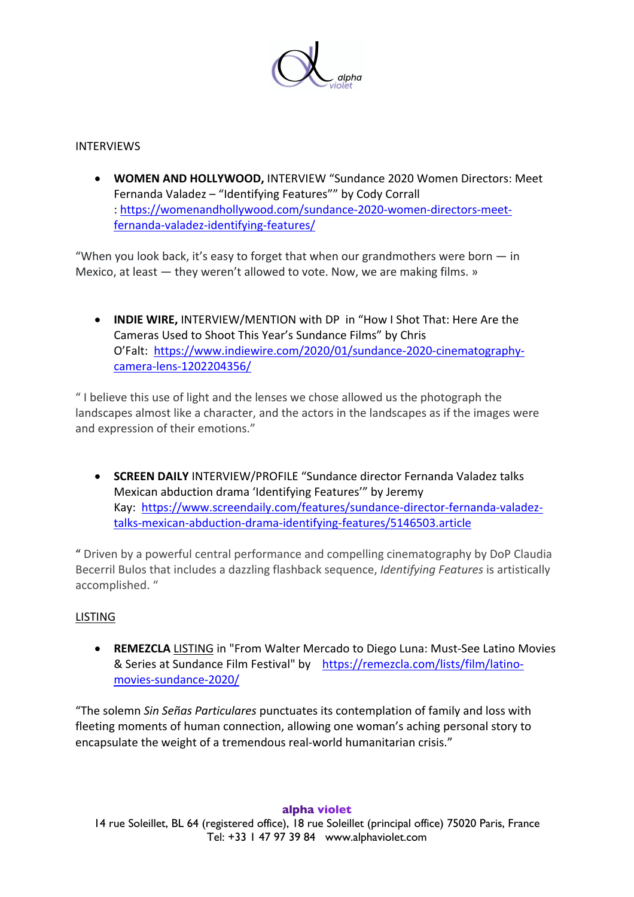

## INTERVIEWS

• **WOMEN AND HOLLYWOOD,** INTERVIEW "Sundance 2020 Women Directors: Meet Fernanda Valadez – "Identifying Features"" by Cody Corrall : https://womenandhollywood.com/sundance-2020-women-directors-meetfernanda-valadez-identifying-features/

"When you look back, it's easy to forget that when our grandmothers were born  $-$  in Mexico, at least — they weren't allowed to vote. Now, we are making films. »

• **INDIE WIRE,** INTERVIEW/MENTION with DP in "How I Shot That: Here Are the Cameras Used to Shoot This Year's Sundance Films" by Chris O'Falt: https://www.indiewire.com/2020/01/sundance-2020-cinematographycamera-lens-1202204356/

" I believe this use of light and the lenses we chose allowed us the photograph the landscapes almost like a character, and the actors in the landscapes as if the images were and expression of their emotions."

• **SCREEN DAILY** INTERVIEW/PROFILE "Sundance director Fernanda Valadez talks Mexican abduction drama 'Identifying Features'" by Jeremy Kay: https://www.screendaily.com/features/sundance-director-fernanda-valadeztalks-mexican-abduction-drama-identifying-features/5146503.article

" Driven by a powerful central performance and compelling cinematography by DoP Claudia Becerril Bulos that includes a dazzling flashback sequence, *Identifying Features* is artistically accomplished. "

## LISTING

• **REMEZCLA** LISTING in "From Walter Mercado to Diego Luna: Must-See Latino Movies & Series at Sundance Film Festival" by https://remezcla.com/lists/film/latinomovies-sundance-2020/

"The solemn *Sin Señas Particulares* punctuates its contemplation of family and loss with fleeting moments of human connection, allowing one woman's aching personal story to encapsulate the weight of a tremendous real-world humanitarian crisis."

## **alpha violet**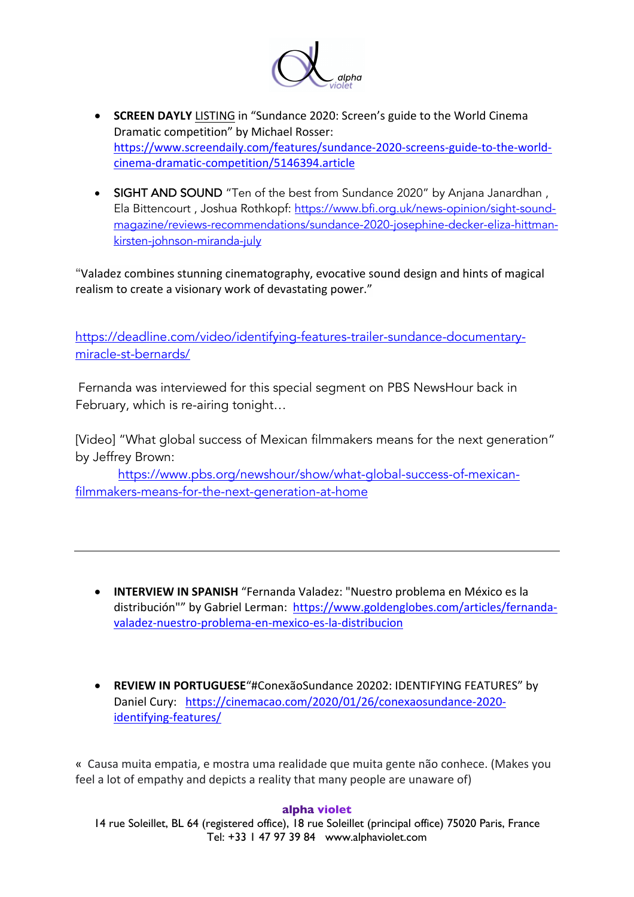

- **SCREEN DAYLY** LISTING in "Sundance 2020: Screen's guide to the World Cinema Dramatic competition" by Michael Rosser: https://www.screendaily.com/features/sundance-2020-screens-guide-to-the-worldcinema-dramatic-competition/5146394.article
- SIGHT AND SOUND "Ten of the best from Sundance 2020" by Anjana Janardhan, Ela Bittencourt , Joshua Rothkopf: https://www.bfi.org.uk/news-opinion/sight-soundmagazine/reviews-recommendations/sundance-2020-josephine-decker-eliza-hittmankirsten-johnson-miranda-july

"Valadez combines stunning cinematography, evocative sound design and hints of magical realism to create a visionary work of devastating power."

https://deadline.com/video/identifying-features-trailer-sundance-documentarymiracle-st-bernards/

Fernanda was interviewed for this special segment on PBS NewsHour back in February, which is re-airing tonight…

[Video] "What global success of Mexican filmmakers means for the next generation" by Jeffrey Brown:

https://www.pbs.org/newshour/show/what-global-success-of-mexicanfilmmakers-means-for-the-next-generation-at-home

- **INTERVIEW IN SPANISH** "Fernanda Valadez: "Nuestro problema en México es la distribución"" by Gabriel Lerman: https://www.goldenglobes.com/articles/fernandavaladez-nuestro-problema-en-mexico-es-la-distribucion
- **REVIEW IN PORTUGUESE**"#ConexãoSundance 20202: IDENTIFYING FEATURES" by Daniel Cury: https://cinemacao.com/2020/01/26/conexaosundance-2020 identifying-features/

« Causa muita empatia, e mostra uma realidade que muita gente não conhece. (Makes you feel a lot of empathy and depicts a reality that many people are unaware of)

## **alpha violet**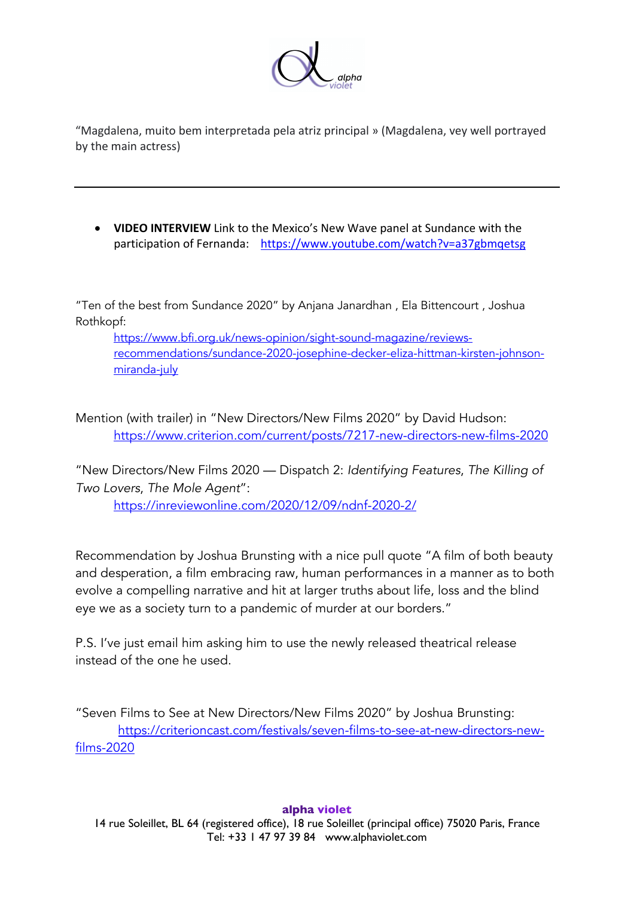

"Magdalena, muito bem interpretada pela atriz principal » (Magdalena, vey well portrayed by the main actress)

• **VIDEO INTERVIEW** Link to the Mexico's New Wave panel at Sundance with the participation of Fernanda: https://www.youtube.com/watch?v=a37gbmqetsg

"Ten of the best from Sundance 2020" by Anjana Janardhan , Ela Bittencourt , Joshua Rothkopf:

https://www.bfi.org.uk/news-opinion/sight-sound-magazine/reviewsrecommendations/sundance-2020-josephine-decker-eliza-hittman-kirsten-johnsonmiranda-july

Mention (with trailer) in "New Directors/New Films 2020" by David Hudson: https://www.criterion.com/current/posts/7217-new-directors-new-films-2020

"New Directors/New Films 2020 — Dispatch 2: *Identifying Features*, *The Killing of Two Lovers*, *The Mole Agent*":

https://inreviewonline.com/2020/12/09/ndnf-2020-2/

Recommendation by Joshua Brunsting with a nice pull quote "A film of both beauty and desperation, a film embracing raw, human performances in a manner as to both evolve a compelling narrative and hit at larger truths about life, loss and the blind eye we as a society turn to a pandemic of murder at our borders."

P.S. I've just email him asking him to use the newly released theatrical release instead of the one he used.

"Seven Films to See at New Directors/New Films 2020" by Joshua Brunsting: https://criterioncast.com/festivals/seven-films-to-see-at-new-directors-newfilms-2020

## **alpha violet**